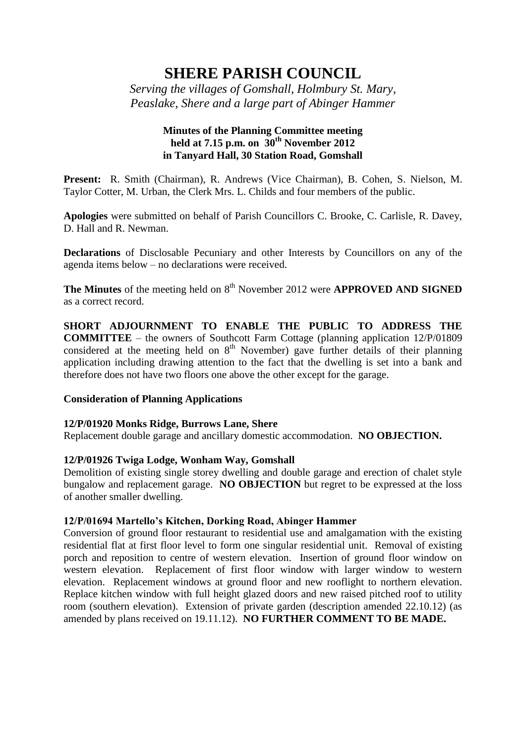# **SHERE PARISH COUNCIL**

*Serving the villages of Gomshall, Holmbury St. Mary, Peaslake, Shere and a large part of Abinger Hammer*

# **Minutes of the Planning Committee meeting held at 7.15 p.m. on 30th November 2012 in Tanyard Hall, 30 Station Road, Gomshall**

**Present:** R. Smith (Chairman), R. Andrews (Vice Chairman), B. Cohen, S. Nielson, M. Taylor Cotter, M. Urban, the Clerk Mrs. L. Childs and four members of the public.

**Apologies** were submitted on behalf of Parish Councillors C. Brooke, C. Carlisle, R. Davey, D. Hall and R. Newman.

**Declarations** of Disclosable Pecuniary and other Interests by Councillors on any of the agenda items below – no declarations were received.

**The Minutes** of the meeting held on 8<sup>th</sup> November 2012 were **APPROVED AND SIGNED** as a correct record.

**SHORT ADJOURNMENT TO ENABLE THE PUBLIC TO ADDRESS THE COMMITTEE** – the owners of Southcott Farm Cottage (planning application 12/P/01809 considered at the meeting held on  $8<sup>th</sup>$  November) gave further details of their planning application including drawing attention to the fact that the dwelling is set into a bank and therefore does not have two floors one above the other except for the garage.

# **Consideration of Planning Applications**

### **12/P/01920 Monks Ridge, Burrows Lane, Shere**

Replacement double garage and ancillary domestic accommodation. **NO OBJECTION.**

# **12/P/01926 Twiga Lodge, Wonham Way, Gomshall**

Demolition of existing single storey dwelling and double garage and erection of chalet style bungalow and replacement garage. **NO OBJECTION** but regret to be expressed at the loss of another smaller dwelling.

### **12/P/01694 Martello's Kitchen, Dorking Road, Abinger Hammer**

Conversion of ground floor restaurant to residential use and amalgamation with the existing residential flat at first floor level to form one singular residential unit. Removal of existing porch and reposition to centre of western elevation. Insertion of ground floor window on western elevation. Replacement of first floor window with larger window to western elevation. Replacement windows at ground floor and new rooflight to northern elevation. Replace kitchen window with full height glazed doors and new raised pitched roof to utility room (southern elevation). Extension of private garden (description amended 22.10.12) (as amended by plans received on 19.11.12). **NO FURTHER COMMENT TO BE MADE.**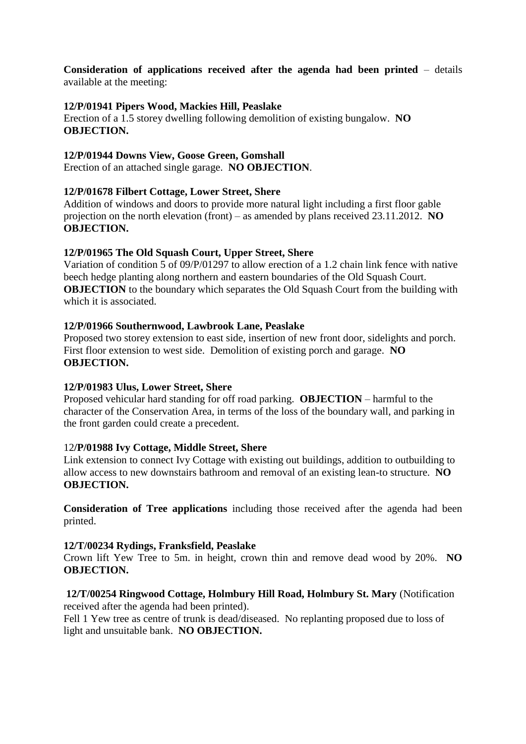**Consideration of applications received after the agenda had been printed** – details available at the meeting:

## **12/P/01941 Pipers Wood, Mackies Hill, Peaslake**

Erection of a 1.5 storey dwelling following demolition of existing bungalow. **NO OBJECTION.**

## **12/P/01944 Downs View, Goose Green, Gomshall**

Erection of an attached single garage. **NO OBJECTION**.

## **12/P/01678 Filbert Cottage, Lower Street, Shere**

Addition of windows and doors to provide more natural light including a first floor gable projection on the north elevation (front) – as amended by plans received 23.11.2012. **NO OBJECTION.**

## **12/P/01965 The Old Squash Court, Upper Street, Shere**

Variation of condition 5 of 09/P/01297 to allow erection of a 1.2 chain link fence with native beech hedge planting along northern and eastern boundaries of the Old Squash Court. **OBJECTION** to the boundary which separates the Old Squash Court from the building with which it is associated.

### **12/P/01966 Southernwood, Lawbrook Lane, Peaslake**

Proposed two storey extension to east side, insertion of new front door, sidelights and porch. First floor extension to west side. Demolition of existing porch and garage. **NO OBJECTION.**

# **12/P/01983 Ulus, Lower Street, Shere**

Proposed vehicular hard standing for off road parking. **OBJECTION** – harmful to the character of the Conservation Area, in terms of the loss of the boundary wall, and parking in the front garden could create a precedent.

# 12**/P/01988 Ivy Cottage, Middle Street, Shere**

Link extension to connect Ivy Cottage with existing out buildings, addition to outbuilding to allow access to new downstairs bathroom and removal of an existing lean-to structure. **NO OBJECTION.**

**Consideration of Tree applications** including those received after the agenda had been printed.

### **12/T/00234 Rydings, Franksfield, Peaslake**

Crown lift Yew Tree to 5m. in height, crown thin and remove dead wood by 20%. **NO OBJECTION.**

# **12/T/00254 Ringwood Cottage, Holmbury Hill Road, Holmbury St. Mary** (Notification

received after the agenda had been printed).

Fell 1 Yew tree as centre of trunk is dead/diseased. No replanting proposed due to loss of light and unsuitable bank. **NO OBJECTION.**